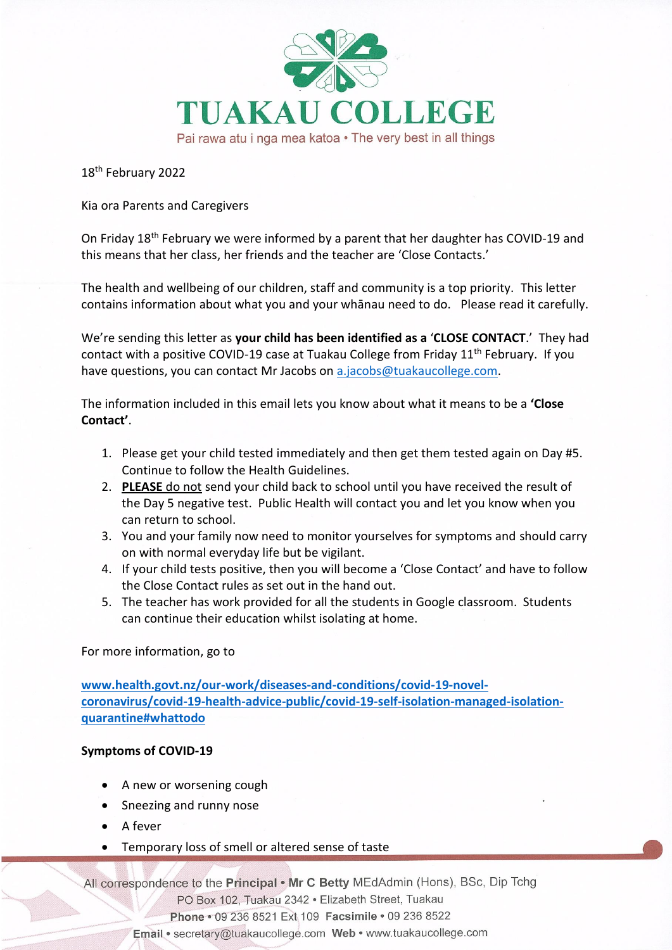

18th February 2022

Kia ora Parents and Caregivers

On Friday 18th February we were informed by a parent that her daughter has COVID-19 and this means that her class, her friends and the teacher are 'Close Contacts.'

The health and wellbeing of our children, staff and community is a top priority. This letter contains information about what you and your whānau need to do. Please read it carefully.

We're sending this letter as **your child has been identified as a** '**CLOSE CONTACT**.' They had contact with a positive COVID-19 case at Tuakau College from Friday 11th February.If you have questions, you can contact Mr Jacobs on [a.jacobs@tuakaucollege.com.](mailto:a.jacobs@tuakaucollege.com)

The information included in this email lets you know about what it means to be a **'Close Contact'**.

- 1. Please get your child tested immediately and then get them tested again on Day #5. Continue to follow the Health Guidelines.
- 2. **PLEASE** do not send your child back to school until you have received the result of the Day 5 negative test. Public Health will contact you and let you know when you can return to school.
- 3. You and your family now need to monitor yourselves for symptoms and should carry on with normal everyday life but be vigilant.
- 4. If your child tests positive, then you will become a 'Close Contact' and have to follow the Close Contact rules as set out in the hand out.
- 5. The teacher has work provided for all the students in Google classroom. Students can continue their education whilst isolating at home.

For more information, go to

**[www.health.govt.nz/our-work/diseases-and-conditions/covid-19-novel](http://www.health.govt.nz/our-work/diseases-and-conditions/covid-19-novel-coronavirus/covid-19-health-advice-public/covid-19-self-isolation-managed-isolation-quarantine#whattodo)[coronavirus/covid-19-health-advice-public/covid-19-self-isolation-managed-isolation](http://www.health.govt.nz/our-work/diseases-and-conditions/covid-19-novel-coronavirus/covid-19-health-advice-public/covid-19-self-isolation-managed-isolation-quarantine#whattodo)[quarantine#whattodo](http://www.health.govt.nz/our-work/diseases-and-conditions/covid-19-novel-coronavirus/covid-19-health-advice-public/covid-19-self-isolation-managed-isolation-quarantine#whattodo)**

## **Symptoms of COVID-19**

- A new or worsening cough
- Sneezing and runny nose
- A fever
- Temporary loss of smell or altered sense of taste

All correspondence to the Principal . Mr C Betty MEdAdmin (Hons), BSc, Dip Tchg

PO Box 102, Tuakau 2342 · Elizabeth Street, Tuakau

Phone · 09 236 8521 Ext 109 Facsimile · 09 236 8522

Email · secretary@tuakaucollege.com Web · www.tuakaucollege.com